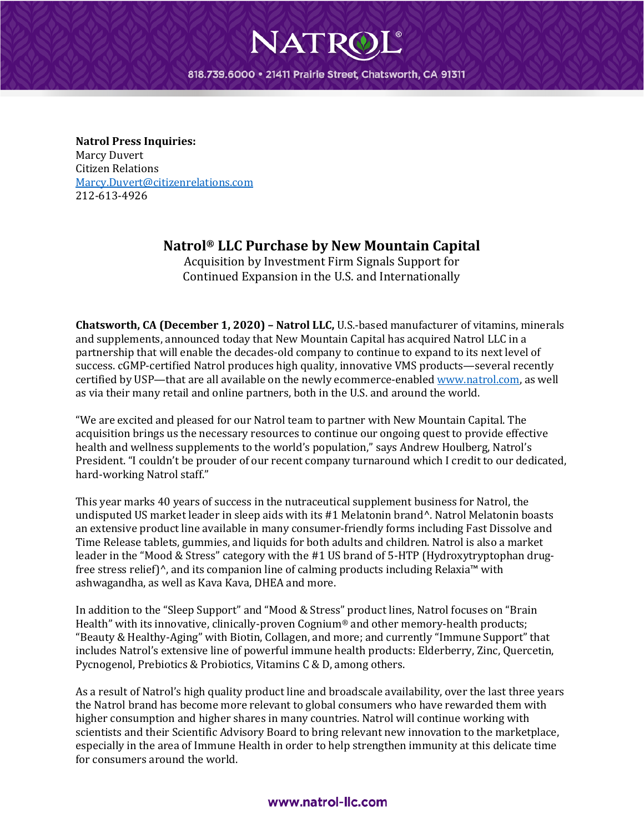818.739.6000 · 21411 Prairie Street, Chatsworth, CA 91311

**NATRO** 

**Natrol Press Inquiries:** Marcy Duvert Citizen Relations [Marcy.Duvert@citizenrelations.com](mailto:Marcy.Duvert@citizenrelations.com) 212-613-4926

## **Natrol® LLC Purchase by New Mountain Capital**

Acquisition by Investment Firm Signals Support for Continued Expansion in the U.S. and Internationally

**Chatsworth, CA (December 1, 2020) – Natrol LLC,** U.S.-based manufacturer of vitamins, minerals and supplements, announced today that New Mountain Capital has acquired Natrol LLC in a partnership that will enable the decades-old company to continue to expand to its next level of success. cGMP-certified Natrol produces high quality, innovative VMS products—several recently certified by USP—that are all available on the newly ecommerce-enabled [www.natrol.com,](http://www.natrol.com/) as well as via their many retail and online partners, both in the U.S. and around the world.

"We are excited and pleased for our Natrol team to partner with New Mountain Capital. The acquisition brings us the necessary resources to continue our ongoing quest to provide effective health and wellness supplements to the world's population," says Andrew Houlberg, Natrol's President. "I couldn't be prouder of our recent company turnaround which I credit to our dedicated, hard-working Natrol staff."

This year marks 40 years of success in the nutraceutical supplement business for Natrol, the undisputed US market leader in sleep aids with its #1 Melatonin brand^. Natrol Melatonin boasts an extensive product line available in many consumer-friendly forms including Fast Dissolve and Time Release tablets, gummies, and liquids for both adults and children. Natrol is also a market leader in the "Mood & Stress" category with the #1 US brand of 5-HTP (Hydroxytryptophan drugfree stress relief)^, and its companion line of calming products including Relaxia™ with ashwagandha, as well as Kava Kava, DHEA and more.

In addition to the "Sleep Support" and "Mood & Stress" product lines, Natrol focuses on "Brain Health" with its innovative, clinically-proven Cognium® and other memory-health products; "Beauty & Healthy-Aging" with Biotin, Collagen, and more; and currently "Immune Support" that includes Natrol's extensive line of powerful immune health products: Elderberry, Zinc, Quercetin, Pycnogenol, Prebiotics & Probiotics, Vitamins C & D, among others.

As a result of Natrol's high quality product line and broadscale availability, over the last three years the Natrol brand has become more relevant to global consumers who have rewarded them with higher consumption and higher shares in many countries. Natrol will continue working with scientists and their Scientific Advisory Board to bring relevant new innovation to the marketplace, especially in the area of Immune Health in order to help strengthen immunity at this delicate time for consumers around the world.

## www.natrol-llc.com